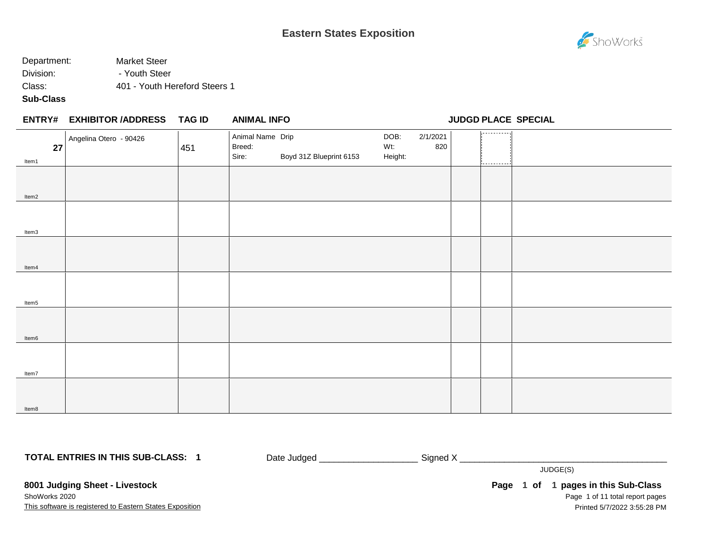

# Department: Market Steer Division: The Pouth Steer Class: 401 - Youth Hereford Steers 1

**Sub-Class**

|             | <b>ENTRY# EXHIBITOR /ADDRESS</b> | TAG ID | <b>ANIMAL INFO</b>                  |                         |                        |                 | <b>JUDGD PLACE SPECIAL</b> |  |
|-------------|----------------------------------|--------|-------------------------------------|-------------------------|------------------------|-----------------|----------------------------|--|
| 27<br>Item1 | Angelina Otero - 90426           | 451    | Animal Name Drip<br>Breed:<br>Sire: | Boyd 31Z Blueprint 6153 | DOB:<br>Wt:<br>Height: | 2/1/2021<br>820 | ----------<br>.            |  |
| Item2       |                                  |        |                                     |                         |                        |                 |                            |  |
| Item3       |                                  |        |                                     |                         |                        |                 |                            |  |
| Item4       |                                  |        |                                     |                         |                        |                 |                            |  |
| Item5       |                                  |        |                                     |                         |                        |                 |                            |  |
| Item6       |                                  |        |                                     |                         |                        |                 |                            |  |
| Item7       |                                  |        |                                     |                         |                        |                 |                            |  |
| Item8       |                                  |        |                                     |                         |                        |                 |                            |  |

**TOTAL ENTRIES IN THIS SUB-CLASS: 1**

Date Judged \_\_\_\_\_\_\_\_\_\_\_\_\_\_\_\_\_\_\_\_\_\_\_\_\_\_\_\_\_\_\_\_\_\_ Signed X \_\_\_\_\_

JUDGE(S)

**8001 Judging Sheet - Livestock** ShoWorks 2020

This software is registered to Eastern States Exposition

Page 1 of 11 total report pages **Page 1 of 1 pages in this Sub-Class** Printed 5/7/2022 3:55:28 PM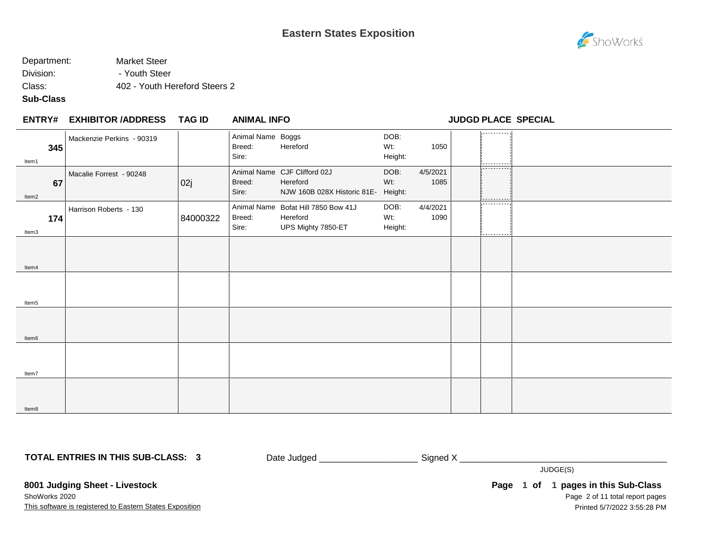

# Department: Market Steer Division: The Pouth Steer Class: 402 - Youth Hereford Steers 2

#### **Sub-Class**

|              | <b>ENTRY# EXHIBITOR /ADDRESS</b> | TAG ID   | <b>ANIMAL INFO</b>                   |                                                                         |                        |                  | <b>JUDGD PLACE SPECIAL</b> |  |
|--------------|----------------------------------|----------|--------------------------------------|-------------------------------------------------------------------------|------------------------|------------------|----------------------------|--|
| 345<br>Item1 | Mackenzie Perkins - 90319        |          | Animal Name Boggs<br>Breed:<br>Sire: | Hereford                                                                | DOB:<br>Wt:<br>Height: | 1050             | ----------                 |  |
| 67<br>Item2  | Macalie Forrest - 90248          | 02j      | Breed:<br>Sire:                      | Animal Name CJF Clifford 02J<br>Hereford<br>NJW 160B 028X Historic 81E- | DOB:<br>Wt:<br>Height: | 4/5/2021<br>1085 | -----------                |  |
| 174<br>Item3 | Harrison Roberts - 130           | 84000322 | Breed:<br>Sire:                      | Animal Name Bofat Hill 7850 Bow 41J<br>Hereford<br>UPS Mighty 7850-ET   | DOB:<br>Wt:<br>Height: | 4/4/2021<br>1090 | .<br>---------             |  |
| Item4        |                                  |          |                                      |                                                                         |                        |                  |                            |  |
| Item5        |                                  |          |                                      |                                                                         |                        |                  |                            |  |
| Item6        |                                  |          |                                      |                                                                         |                        |                  |                            |  |
| Item7        |                                  |          |                                      |                                                                         |                        |                  |                            |  |
| Item8        |                                  |          |                                      |                                                                         |                        |                  |                            |  |

**TOTAL ENTRIES IN THIS SUB-CLASS: 3**

Date Judged \_\_\_\_\_\_\_\_\_\_\_\_\_\_\_\_\_\_\_\_\_\_\_\_\_\_\_\_ Signed X \_\_\_\_\_\_\_\_\_\_\_\_\_\_\_\_\_\_\_\_\_\_\_\_\_\_\_\_\_\_

JUDGE(S)

**8001 Judging Sheet - Livestock** ShoWorks 2020

This software is registered to Eastern States Exposition

Page 2 of 11 total report pages Page 1 of 1 pages in this Sub-Class Printed 5/7/2022 3:55:28 PM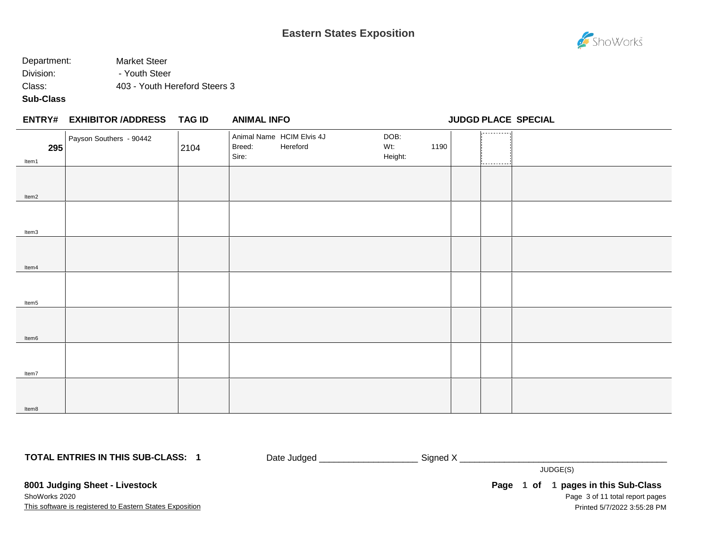

# Department: Market Steer Division: The Pouth Steer Class: 403 - Youth Hereford Steers 3

## **Sub-Class**

|              | ENTRY# EXHIBITOR /ADDRESS TAG ID |      | <b>ANIMAL INFO</b>                                       |                                | <b>JUDGD PLACE SPECIAL</b> |  |
|--------------|----------------------------------|------|----------------------------------------------------------|--------------------------------|----------------------------|--|
| 295<br>Item1 | Payson Southers - 90442          | 2104 | Animal Name HCIM Elvis 4J<br>Breed:<br>Hereford<br>Sire: | DOB:<br>1190<br>Wt:<br>Height: | -----------<br>----------  |  |
| Item2        |                                  |      |                                                          |                                |                            |  |
| Item3        |                                  |      |                                                          |                                |                            |  |
| Item4        |                                  |      |                                                          |                                |                            |  |
| Item5        |                                  |      |                                                          |                                |                            |  |
| Item6        |                                  |      |                                                          |                                |                            |  |
| Item7        |                                  |      |                                                          |                                |                            |  |
| Item8        |                                  |      |                                                          |                                |                            |  |

**TOTAL ENTRIES IN THIS SUB-CLASS: 1**

Date Judged \_\_\_\_\_\_\_\_\_\_\_\_\_\_\_\_\_\_\_\_\_\_\_\_\_\_\_\_ Signed X \_\_\_\_\_\_\_\_\_\_\_\_\_\_\_\_\_\_\_\_\_\_\_\_\_\_\_\_\_\_

JUDGE(S)

**8001 Judging Sheet - Livestock** ShoWorks 2020

This software is registered to Eastern States Exposition

Page 3 of 11 total report pages Page 1 of 1 pages in this Sub-Class Printed 5/7/2022 3:55:28 PM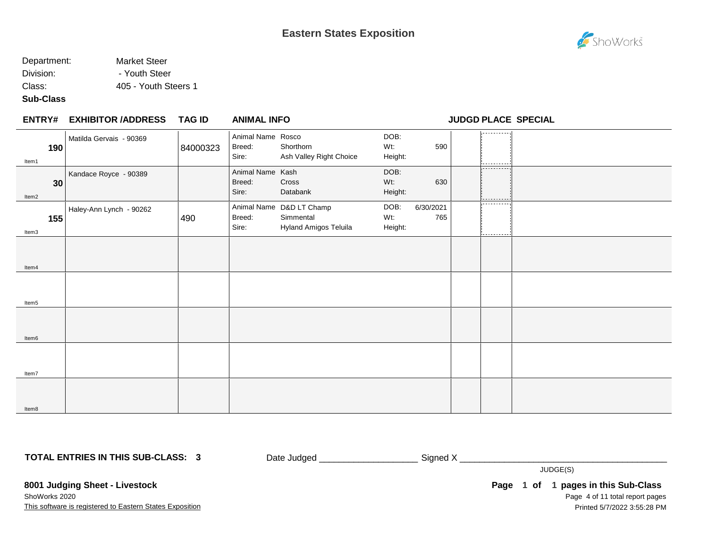# Department: Market Steer Division: The Pouth Steer

Class: 405 - Youth Steers 1

## **Sub-Class**

|       | <b>ENTRY# EXHIBITOR /ADDRESS</b> | <b>TAG ID</b> | <b>ANIMAL INFO</b>                   |                                                                |                        |                  | <b>JUDGD PLACE SPECIAL</b> |  |
|-------|----------------------------------|---------------|--------------------------------------|----------------------------------------------------------------|------------------------|------------------|----------------------------|--|
| Item1 | Matilda Gervais - 90369<br>190   | 84000323      | Animal Name Rosco<br>Breed:<br>Sire: | Shorthorn<br>Ash Valley Right Choice                           | DOB:<br>Wt:<br>Height: | 590              | ---------                  |  |
| Item2 | Kandace Royce - 90389<br>30      |               | Animal Name Kash<br>Breed:<br>Sire:  | Cross<br>Databank                                              | DOB:<br>Wt:<br>Height: | 630              | ----------<br>----------   |  |
| Item3 | Haley-Ann Lynch - 90262<br>155   | 490           | Breed:<br>Sire:                      | Animal Name D&D LT Champ<br>Simmental<br>Hyland Amigos Teluila | DOB:<br>Wt:<br>Height: | 6/30/2021<br>765 | ----------<br>---------    |  |
| Item4 |                                  |               |                                      |                                                                |                        |                  |                            |  |
| Item5 |                                  |               |                                      |                                                                |                        |                  |                            |  |
| Item6 |                                  |               |                                      |                                                                |                        |                  |                            |  |
| Item7 |                                  |               |                                      |                                                                |                        |                  |                            |  |
| Item8 |                                  |               |                                      |                                                                |                        |                  |                            |  |

**TOTAL ENTRIES IN THIS SUB-CLASS: 3**

Date Judged \_\_\_\_\_\_\_\_\_\_\_\_\_\_\_\_\_\_\_\_\_\_\_\_\_\_\_\_\_Signed X \_\_\_\_\_\_\_\_\_\_\_\_\_\_\_\_\_\_\_\_\_\_\_\_\_\_\_\_\_\_

JUDGE(S)

**8001 Judging Sheet - Livestock** ShoWorks 2020

This software is registered to Eastern States Exposition

Page 4 of 11 total report pages Page 1 of 1 pages in this Sub-Class Printed 5/7/2022 3:55:28 PM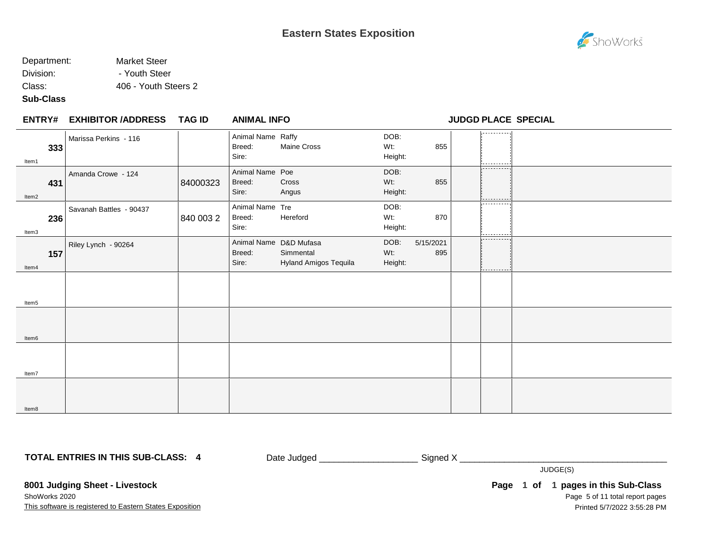### Department: Market Steer Division: The Pouth Steer

Class: 406 - Youth Steers 2

#### **Sub-Class**

|              | <b>ENTRY# EXHIBITOR /ADDRESS</b> | <b>TAG ID</b> | <b>ANIMAL INFO</b>                   |                                                              |                        |                  |                       | <b>JUDGD PLACE SPECIAL</b> |
|--------------|----------------------------------|---------------|--------------------------------------|--------------------------------------------------------------|------------------------|------------------|-----------------------|----------------------------|
| 333<br>Item1 | Marissa Perkins - 116            |               | Animal Name Raffy<br>Breed:<br>Sire: | Maine Cross                                                  | DOB:<br>Wt:<br>Height: | 855              | --------              |                            |
| 431<br>Item2 | Amanda Crowe - 124               | 84000323      | Animal Name Poe<br>Breed:<br>Sire:   | Cross<br>Angus                                               | DOB:<br>Wt:<br>Height: | 855              | ----------<br>------- |                            |
| 236<br>Item3 | Savanah Battles - 90437          | 840 003 2     | Animal Name Tre<br>Breed:<br>Sire:   | Hereford                                                     | DOB:<br>Wt:<br>Height: | 870              | ----------            |                            |
| 157<br>Item4 | Riley Lynch - 90264              |               | Breed:<br>Sire:                      | Animal Name D&D Mufasa<br>Simmental<br>Hyland Amigos Tequila | DOB:<br>Wt:<br>Height: | 5/15/2021<br>895 | -----------<br>.      |                            |
| Item5        |                                  |               |                                      |                                                              |                        |                  |                       |                            |
| Item6        |                                  |               |                                      |                                                              |                        |                  |                       |                            |
| Item7        |                                  |               |                                      |                                                              |                        |                  |                       |                            |
| Item8        |                                  |               |                                      |                                                              |                        |                  |                       |                            |

**TOTAL ENTRIES IN THIS SUB-CLASS: 4**

Date Judged \_\_\_\_\_\_\_\_\_\_\_\_\_\_\_\_\_\_\_\_\_\_\_\_\_\_\_\_ Signed X \_\_\_\_\_\_\_\_\_\_\_\_\_\_\_\_\_\_\_\_\_\_\_\_\_\_\_\_\_\_

JUDGE(S)

**8001 Judging Sheet - Livestock**

This software is registered to Eastern States Exposition ShoWorks 2020

Page 5 of 11 total report pages Page 1 of 1 pages in this Sub-Class Printed 5/7/2022 3:55:28 PM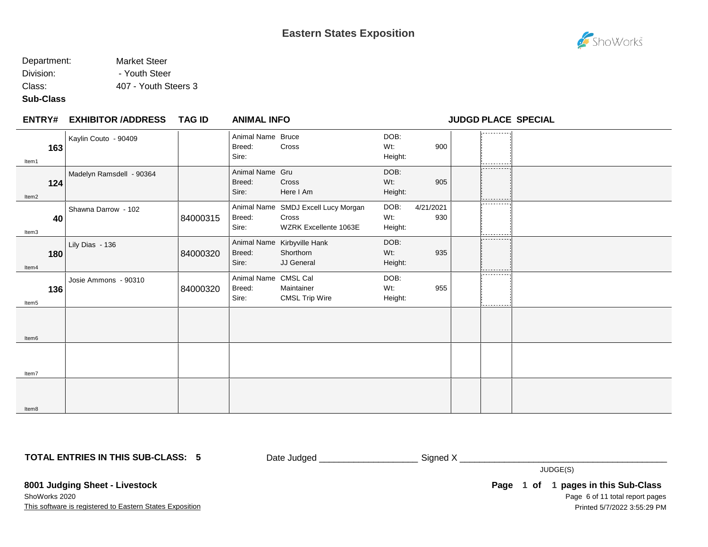#### Department: Market Steer Division: The Pouth Steer

Class: 407 - Youth Steers 3

#### **Sub-Class**

| <b>ENTRY#</b> | <b>EXHIBITOR /ADDRESS</b> | <b>TAG ID</b> | <b>ANIMAL INFO</b>                      |                                                                       |                        |                  | <b>JUDGD PLACE SPECIAL</b> |  |
|---------------|---------------------------|---------------|-----------------------------------------|-----------------------------------------------------------------------|------------------------|------------------|----------------------------|--|
| 163<br>Item1  | Kaylin Couto - 90409      |               | Animal Name Bruce<br>Breed:<br>Sire:    | Cross                                                                 | DOB:<br>Wt:<br>Height: | 900              |                            |  |
| 124<br>Item2  | Madelyn Ramsdell - 90364  |               | Animal Name Gru<br>Breed:<br>Sire:      | Cross<br>Here I Am                                                    | DOB:<br>Wt:<br>Height: | 905              | ----------<br>----------   |  |
| 40<br>Item3   | Shawna Darrow - 102       | 84000315      | Breed:<br>Sire:                         | Animal Name SMDJ Excell Lucy Morgan<br>Cross<br>WZRK Excellente 1063E | DOB:<br>Wt:<br>Height: | 4/21/2021<br>930 | .<br>---------             |  |
| 180<br>Item4  | Lily Dias - 136           | 84000320      | Breed:<br>Sire:                         | Animal Name Kirbyville Hank<br>Shorthorn<br>JJ General                | DOB:<br>Wt:<br>Height: | 935              | .<br>---------             |  |
| 136<br>Item5  | Josie Ammons - 90310      | 84000320      | Animal Name CMSL Cal<br>Breed:<br>Sire: | Maintainer<br><b>CMSL Trip Wire</b>                                   | DOB:<br>Wt:<br>Height: | 955              | .<br>---------             |  |
| Item6         |                           |               |                                         |                                                                       |                        |                  |                            |  |
| Item7         |                           |               |                                         |                                                                       |                        |                  |                            |  |
| Item8         |                           |               |                                         |                                                                       |                        |                  |                            |  |

**TOTAL ENTRIES IN THIS SUB-CLASS: 5**

Date Judged \_\_\_\_\_\_\_\_\_\_\_\_\_\_\_\_\_\_\_\_\_\_\_\_\_\_\_\_Signed X \_\_\_\_\_\_\_\_\_\_\_\_\_\_\_\_\_\_\_\_\_\_\_\_\_\_\_\_\_\_\_

JUDGE(S)

**8001 Judging Sheet - Livestock**

This software is registered to Eastern States Exposition ShoWorks 2020

Page 6 of 11 total report pages Page 1 of 1 pages in this Sub-Class Printed 5/7/2022 3:55:29 PM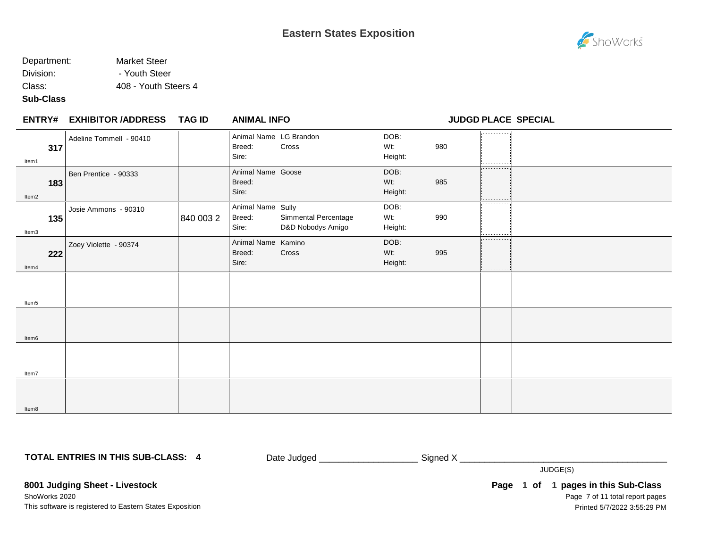#### Department: Market Steer Division: The Pouth Steer

Class: 408 - Youth Steers 4

### **Sub-Class**

|              | <b>ENTRY# EXHIBITOR /ADDRESS</b> | TAG ID    | <b>ANIMAL INFO</b>                        |                                           |                        |     |                          | <b>JUDGD PLACE SPECIAL</b> |
|--------------|----------------------------------|-----------|-------------------------------------------|-------------------------------------------|------------------------|-----|--------------------------|----------------------------|
| 317<br>Item1 | Adeline Tommell - 90410          |           | Animal Name LG Brandon<br>Breed:<br>Sire: | Cross                                     | DOB:<br>Wt:<br>Height: | 980 | ---------                |                            |
| 183<br>Item2 | Ben Prentice - 90333             |           | Animal Name Goose<br>Breed:<br>Sire:      |                                           | DOB:<br>Wt:<br>Height: | 985 | ----------<br>---------- |                            |
| 135<br>Item3 | Josie Ammons - 90310             | 840 003 2 | Animal Name Sully<br>Breed:<br>Sire:      | Simmental Percentage<br>D&D Nobodys Amigo | DOB:<br>Wt:<br>Height: | 990 | ----------<br>---------- |                            |
| 222<br>Item4 | Zoey Violette - 90374            |           | Animal Name Kamino<br>Breed:<br>Sire:     | Cross                                     | DOB:<br>Wt:<br>Height: | 995 | .<br>----------          |                            |
| Item5        |                                  |           |                                           |                                           |                        |     |                          |                            |
| Item6        |                                  |           |                                           |                                           |                        |     |                          |                            |
| Item7        |                                  |           |                                           |                                           |                        |     |                          |                            |
| Item8        |                                  |           |                                           |                                           |                        |     |                          |                            |

**TOTAL ENTRIES IN THIS SUB-CLASS: 4**

Date Judged \_\_\_\_\_\_\_\_\_\_\_\_\_\_\_\_\_\_\_\_\_\_\_\_\_\_\_\_\_Signed X \_\_\_\_\_\_\_\_\_\_\_\_\_\_\_\_\_\_\_\_\_\_\_\_\_\_\_\_\_\_

JUDGE(S)

**8001 Judging Sheet - Livestock**

This software is registered to Eastern States Exposition ShoWorks 2020

Page 7 of 11 total report pages Page 1 of 1 pages in this Sub-Class Printed 5/7/2022 3:55:29 PM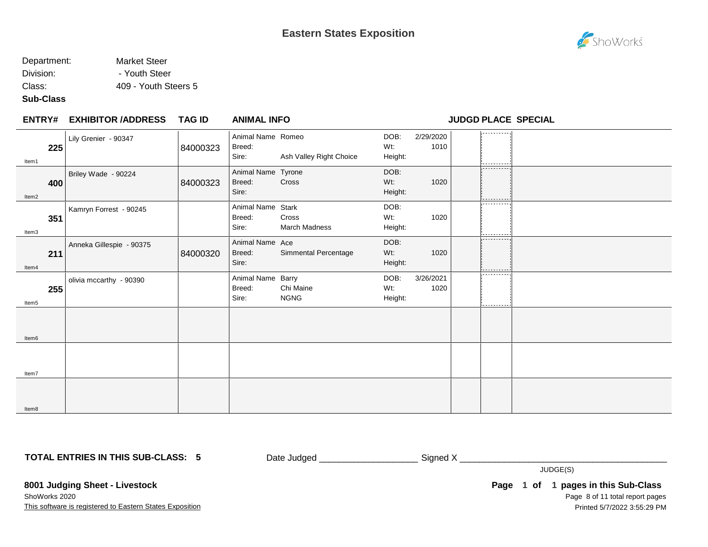#### Department: Market Steer Division: The Pouth Steer

Class: 409 - Youth Steers 5

## **Sub-Class**

| Item1             | Lily Grenier - 90347<br>225     | 84000323 | Animal Name Romeo<br>Breed:<br>Sire:  | Ash Valley Right Choice  | DOB:<br>Wt:<br>Height: | 2/29/2020<br>1010 | .<br>.                    |  |
|-------------------|---------------------------------|----------|---------------------------------------|--------------------------|------------------------|-------------------|---------------------------|--|
| Item2             | Briley Wade - 90224<br>400      | 84000323 | Animal Name Tyrone<br>Breed:<br>Sire: | Cross                    | DOB:<br>Wt:<br>Height: | 1020              | -----------<br>---------- |  |
| Item3             | Kamryn Forrest - 90245<br>351   |          | Animal Name Stark<br>Breed:<br>Sire:  | Cross<br>March Madness   | DOB:<br>Wt:<br>Height: | 1020              | ----------<br>.           |  |
| Item4             | Anneka Gillespie - 90375<br>211 | 84000320 | Animal Name Ace<br>Breed:<br>Sire:    | Simmental Percentage     | DOB:<br>Wt:<br>Height: | 1020              | ---------<br>----------   |  |
| Item5             | olivia mccarthy - 90390<br>255  |          | Animal Name Barry<br>Breed:<br>Sire:  | Chi Maine<br><b>NGNG</b> | DOB:<br>Wt:<br>Height: | 3/26/2021<br>1020 | ----------<br>----------  |  |
| Item <sub>6</sub> |                                 |          |                                       |                          |                        |                   |                           |  |
| Item7             |                                 |          |                                       |                          |                        |                   |                           |  |
| Item8             |                                 |          |                                       |                          |                        |                   |                           |  |

**TOTAL ENTRIES IN THIS SUB-CLASS: 5**

Date Judged \_\_\_\_\_\_\_\_\_\_\_\_\_\_\_\_\_\_\_\_\_\_\_\_\_\_\_\_\_Signed X \_\_\_\_\_\_\_\_\_\_\_\_\_\_\_\_\_\_\_\_\_\_\_\_\_\_\_\_\_\_

JUDGE(S)

**8001 Judging Sheet - Livestock**

This software is registered to Eastern States Exposition ShoWorks 2020

Page 8 of 11 total report pages Page 1 of 1 pages in this Sub-Class Printed 5/7/2022 3:55:29 PM



**EXHIBITOR /ADDRESS TAG ID ENTRY# ANIMAL INFO JUDGD PLACE SPECIAL**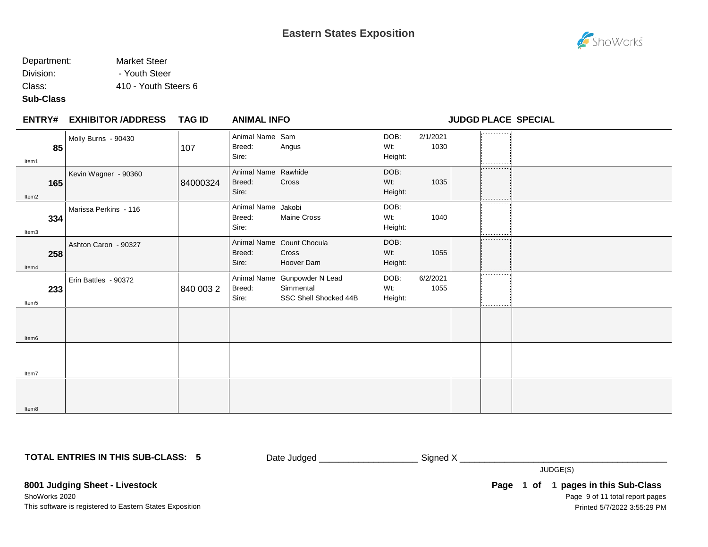### Department: Market Steer Division: The Pouth Steer

Class: 410 - Youth Steers 6

# **Sub-Class**

| <b>ENTRY#</b> | <b>EXHIBITOR /ADDRESS</b> | <b>TAG ID</b> | <b>ANIMAL INFO</b>                     |                                                                    |                           |                  |                           | <b>JUDGD PLACE SPECIAL</b> |
|---------------|---------------------------|---------------|----------------------------------------|--------------------------------------------------------------------|---------------------------|------------------|---------------------------|----------------------------|
| 85<br>Item1   | Molly Burns - 90430       | 107           | Animal Name Sam<br>Breed:<br>Sire:     | Angus                                                              | DOB:<br>Wt:<br>Height:    | 2/1/2021<br>1030 | .                         |                            |
| 165<br>Item2  | Kevin Wagner - 90360      | 84000324      | Animal Name Rawhide<br>Breed:<br>Sire: | Cross                                                              | DOB:<br>Wt:<br>Height:    | 1035             | -----------<br>---------- |                            |
| 334<br>Item3  | Marissa Perkins - 116     |               | Animal Name Jakobi<br>Breed:<br>Sire:  | Maine Cross                                                        | DOB:<br>Wt:<br>Height:    | 1040             | ---------<br>----------   |                            |
| 258<br>Item4  | Ashton Caron - 90327      |               | Breed:<br>Sire:                        | Animal Name Count Chocula<br>Cross<br>Hoover Dam                   | DOB:<br>$Wt$ :<br>Height: | 1055             | ---------                 |                            |
| 233<br>Item5  | Erin Battles - 90372      | 840 003 2     | Breed:<br>Sire:                        | Animal Name Gunpowder N Lead<br>Simmental<br>SSC Shell Shocked 44B | DOB:<br>Wt:<br>Height:    | 6/2/2021<br>1055 | -------<br>----------     |                            |
| Item6         |                           |               |                                        |                                                                    |                           |                  |                           |                            |
| Item7         |                           |               |                                        |                                                                    |                           |                  |                           |                            |
| Item8         |                           |               |                                        |                                                                    |                           |                  |                           |                            |

**TOTAL ENTRIES IN THIS SUB-CLASS: 5**

Date Judged \_\_\_\_\_\_\_\_\_\_\_\_\_\_\_\_\_\_\_\_\_\_\_\_\_\_\_\_ Signed X \_\_\_\_\_\_\_\_\_\_\_\_\_\_\_\_\_\_\_\_\_\_\_\_\_\_\_\_\_\_

JUDGE(S)

**8001 Judging Sheet - Livestock** ShoWorks 2020

This software is registered to Eastern States Exposition

Page 9 of 11 total report pages **Page 1 of 1 pages in this Sub-Class** Printed 5/7/2022 3:55:29 PM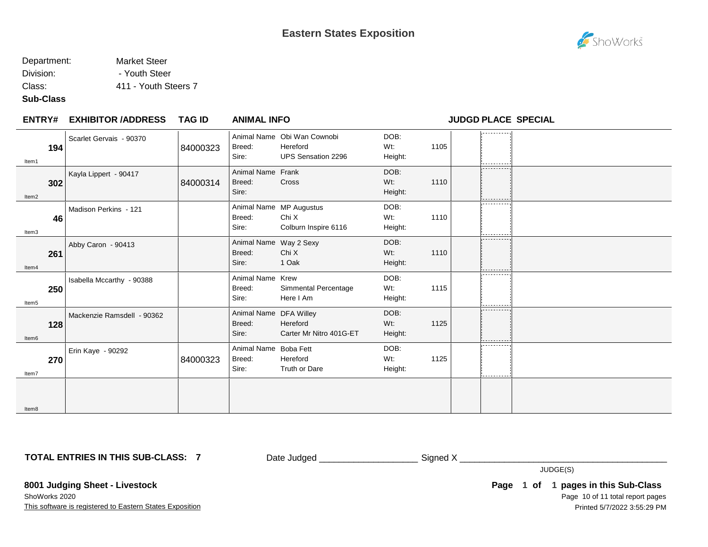# Department: Market Steer

Division: The Pouth Steer

Class: 411 - Youth Steers 7

## **Sub-Class**

| <b>ENTRY#</b> | <b>EXHIBITOR /ADDRESS</b>         | <b>TAG ID</b> | <b>ANIMAL INFO</b>                        |                                                                      |                           |      | <b>JUDGD PLACE SPECIAL</b> |  |
|---------------|-----------------------------------|---------------|-------------------------------------------|----------------------------------------------------------------------|---------------------------|------|----------------------------|--|
| Item1         | Scarlet Gervais - 90370<br>194    | 84000323      | Breed:<br>Sire:                           | Animal Name Obi Wan Cownobi<br>Hereford<br><b>UPS Sensation 2296</b> | DOB:<br>$Wt$ :<br>Height: | 1105 | .                          |  |
| Item2         | Kayla Lippert - 90417<br>302      | 84000314      | Animal Name Frank<br>Breed:<br>Sire:      | Cross                                                                | DOB:<br>Wt:<br>Height:    | 1110 | ----------                 |  |
| Item3         | Madison Perkins - 121<br>46       |               | Breed:<br>Sire:                           | Animal Name MP Augustus<br>Chi X<br>Colburn Inspire 6116             | DOB:<br>Wt:<br>Height:    | 1110 | ----------<br>.            |  |
| Item4         | Abby Caron - 90413<br>261         |               | Animal Name Way 2 Sexy<br>Breed:<br>Sire: | Chi X<br>1 Oak                                                       | DOB:<br>Wt:<br>Height:    | 1110 | .<br>----------            |  |
| Item5         | Isabella Mccarthy - 90388<br>250  |               | Animal Name Krew<br>Breed:<br>Sire:       | Simmental Percentage<br>Here I Am                                    | DOB:<br>Wt:<br>Height:    | 1115 | .                          |  |
| Item6         | Mackenzie Ramsdell - 90362<br>128 |               | Animal Name DFA Willey<br>Breed:<br>Sire: | Hereford<br>Carter Mr Nitro 401G-ET                                  | DOB:<br>Wt:<br>Height:    | 1125 | .<br>.                     |  |
| ltem7         | Erin Kaye - 90292<br>270          | 84000323      | Animal Name Boba Fett<br>Breed:<br>Sire:  | Hereford<br>Truth or Dare                                            | DOB:<br>Wt:<br>Height:    | 1125 |                            |  |
| ltem8         |                                   |               |                                           |                                                                      |                           |      |                            |  |

**TOTAL ENTRIES IN THIS SUB-CLASS: 7**

Date Judged \_\_\_\_\_\_\_\_\_\_\_\_\_\_\_\_\_\_\_\_\_\_\_\_\_\_\_\_\_ Signed X \_\_\_\_\_\_\_\_\_\_\_\_\_\_\_\_\_\_\_\_\_\_\_\_\_\_\_\_\_

JUDGE(S)

**8001 Judging Sheet - Livestock**

This software is registered to Eastern States Exposition ShoWorks 2020

Page 10 of 11 total report pages Page 1 of 1 pages in this Sub-Class Printed 5/7/2022 3:55:29 PM